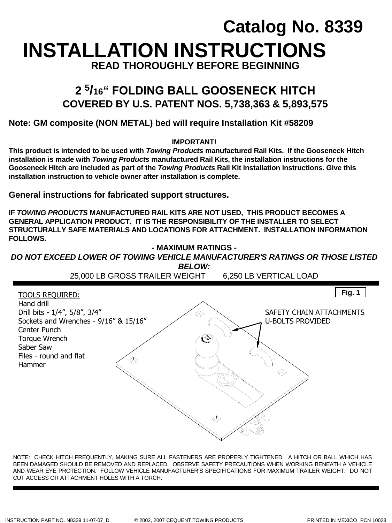# **INSTALLATION INSTRUCTIONS Catalog No. 8339 READ THOROUGHLY BEFORE BEGINNING**

## **2 <sup>5</sup> /16" FOLDING BALL GOOSENECK HITCH COVERED BY U.S. PATENT NOS. 5,738,363 & 5,893,575**

### **Note: GM composite (NON METAL) bed will require Installation Kit #58209**

### **IMPORTANT!**

**This product is intended to be used with** *Towing Products* **manufactured Rail Kits. If the Gooseneck Hitch installation is made with** *Towing Products* **manufactured Rail Kits, the installation instructions for the Gooseneck Hitch are included as part of the** *Towing Products* **Rail Kit installation instructions. Give this installation instruction to vehicle owner after installation is complete.** 

**General instructions for fabricated support structures.**

**IF** *TOWING PRODUCTS* **MANUFACTURED RAIL KITS ARE NOT USED, THIS PRODUCT BECOMES A GENERAL APPLICATION PRODUCT. IT IS THE RESPONSIBILITY OF THE INSTALLER TO SELECT STRUCTURALLY SAFE MATERIALS AND LOCATIONS FOR ATTACHMENT. INSTALLATION INFORMATION FOLLOWS.**



NOTE: CHECK HITCH FREQUENTLY, MAKING SURE ALL FASTENERS ARE PROPERLY TIGHTENED. A HITCH OR BALL WHICH HAS BEEN DAMAGED SHOULD BE REMOVED AND REPLACED. OBSERVE SAFETY PRECAUTIONS WHEN WORKING BENEATH A VEHICLE AND WEAR EYE PROTECTION. FOLLOW VEHICLE MANUFACTURER'S SPECIFICATIONS FOR MAXIMUM TRAILER WEIGHT. DO NOT CUT ACCESS OR ATTACHMENT HOLES WITH A TORCH.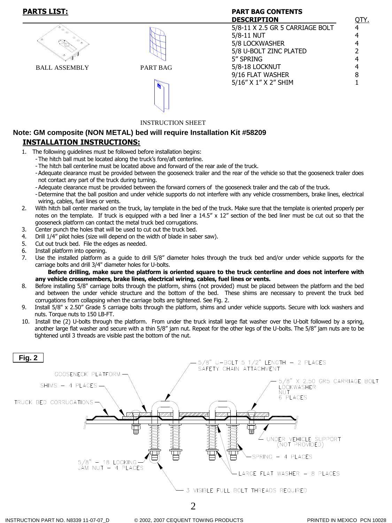### **PARTS LIST: PART BAG CONTENTS**

| ◈<br>$\bullet$<br>⊝<br>⊝<br>◈<br>$\bullet$<br>۰<br>◈ |          |
|------------------------------------------------------|----------|
| <b>BALL ASSEMBLY</b>                                 | PART BAG |





### INSTRUCTION SHEET

### **INSTALLATION INSTRUCTIONS: Note: GM composite (NON METAL) bed will require Installation Kit #58209**

- 1. The following guidelines must be followed before installation begins:
	- -The hitch ball must be located along the truck's fore/aft centerline.
	- -The hitch ball centerline must be located above and forward of the rear axle of the truck.
	- -Adequate clearance must be provided between the gooseneck trailer and the rear of the vehicle so that the gooseneck trailer does not contact any part of the truck during turning.
	- -Adequate clearance must be provided between the forward corners of the gooseneck trailer and the cab of the truck.
	- -Determine that the ball position and under vehicle supports do not interfere with any vehicle crossmembers, brake lines, electrical wiring, cables, fuel lines or vents.
- 2. With hitch ball center marked on the truck, lay template in the bed of the truck. Make sure that the template is oriented properly per notes on the template. If truck is equipped with a bed liner a  $14.5'' \times 12''$  section of the bed liner must be cut out so that the gooseneck platform can contact the metal truck bed corrugations.
- 3. Center punch the holes that will be used to cut out the truck bed.
- 4. Drill 1/4" pilot holes (size will depend on the width of blade in saber saw).
- 5. Cut out truck bed. File the edges as needed.
- 6. Install platform into opening.
- 7. Use the installed platform as a guide to drill 5/8" diameter holes through the truck bed and/or under vehicle supports for the carriage bolts and drill 3/4" diameter holes for U-bolts.

**Before drilling, make sure the platform is oriented square to the truck centerline and does not interfere with any vehicle crossmembers, brake lines, electrical wiring, cables, fuel lines or vents.**

- 8. Before installing 5/8" carriage bolts through the platform, shims (not provided) must be placed between the platform and the bed and between the under vehicle structure and the bottom of the bed. These shims are necessary to prevent the truck bed corrugations from collapsing when the carriage bolts are tightened. See Fig. 2.
- 9. Install 5/8" x 2.50" Grade 5 carriage bolts through the platform, shims and under vehicle supports. Secure with lock washers and nuts. Torque nuts to 150 LB-FT.
- 10. Install the (2) U-bolts through the platform. From under the truck install large flat washer over the U-bolt followed by a spring, another large flat washer and secure with a thin 5/8" jam nut. Repeat for the other legs of the U-bolts. The 5/8" jam nuts are to be tightened until 3 threads are visible past the bottom of the nut.

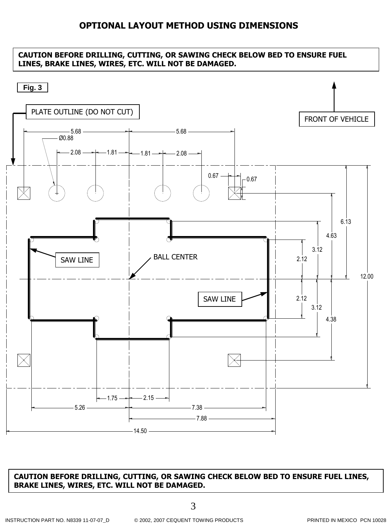### **OPTIONAL LAYOUT METHOD USING DIMENSIONS**

### **CAUTION BEFORE DRILLING, CUTTING, OR SAWING CHECK BELOW BED TO ENSURE FUEL LINES, BRAKE LINES, WIRES, ETC. WILL NOT BE DAMAGED.**



### **CAUTION BEFORE DRILLING, CUTTING, OR SAWING CHECK BELOW BED TO ENSURE FUEL LINES, BRAKE LINES, WIRES, ETC. WILL NOT BE DAMAGED.**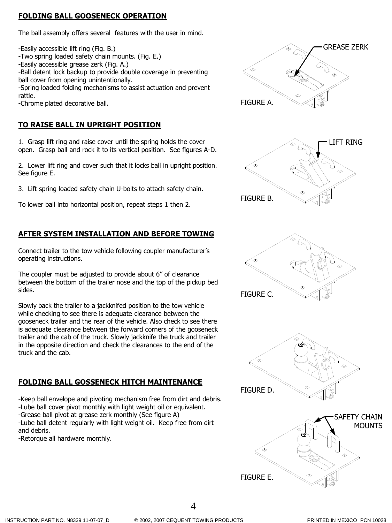### **FOLDING BALL GOOSENECK OPERATION**

The ball assembly offers several features with the user in mind.

-Easily accessible lift ring (Fig. B.)

- -Two spring loaded safety chain mounts. (Fig. E.)
- -Easily accessible grease zerk (Fig. A.)

-Ball detent lock backup to provide double coverage in preventing ball cover from opening unintentionally.

-Spring loaded folding mechanisms to assist actuation and prevent rattle.

-Chrome plated decorative ball.

### **TO RAISE BALL IN UPRIGHT POSITION**

1. Grasp lift ring and raise cover until the spring holds the cover open. Grasp ball and rock it to its vertical position. See figures A-D.

2. Lower lift ring and cover such that it locks ball in upright position. See figure E.

3. Lift spring loaded safety chain U-bolts to attach safety chain.

To lower ball into horizontal position, repeat steps 1 then 2.

### **AFTER SYSTEM INSTALLATION AND BEFORE TOWING**

Connect trailer to the tow vehicle following coupler manufacturer's operating instructions.

The coupler must be adjusted to provide about 6" of clearance between the bottom of the trailer nose and the top of the pickup bed sides.

Slowly back the trailer to a jackknifed position to the tow vehicle while checking to see there is adequate clearance between the gooseneck trailer and the rear of the vehicle. Also check to see there is adequate clearance between the forward corners of the gooseneck trailer and the cab of the truck. Slowly jackknife the truck and trailer in the opposite direction and check the clearances to the end of the truck and the cab.

### **FOLDING BALL GOSSENECK HITCH MAINTENANCE**

-Keep ball envelope and pivoting mechanism free from dirt and debris. -Lube ball cover pivot monthly with light weight oil or equivalent. -Grease ball pivot at grease zerk monthly (See figure A) -Lube ball detent regularly with light weight oil. Keep free from dirt and debris.

-Retorque all hardware monthly.